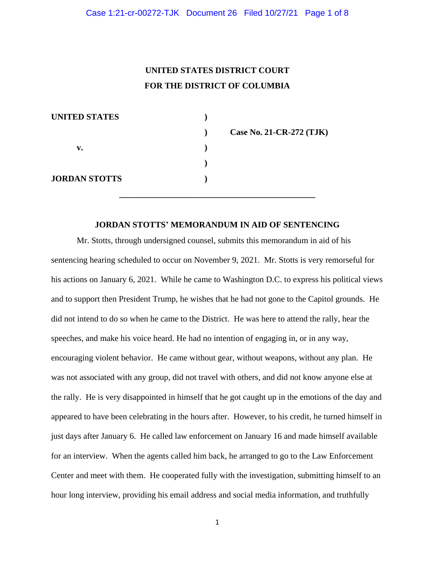# **UNITED STATES DISTRICT COURT FOR THE DISTRICT OF COLUMBIA**

| $\mathbf{r}$ | Case No. 21-CR-272 (TJK) |
|--------------|--------------------------|
|              |                          |
|              |                          |
|              |                          |
|              |                          |

#### **JORDAN STOTTS' MEMORANDUM IN AID OF SENTENCING**

**\_\_\_\_\_\_\_\_\_\_\_\_\_\_\_\_\_\_\_\_\_\_\_\_\_\_\_\_\_\_\_\_\_\_\_\_\_\_\_\_\_\_\_\_\_\_**

Mr. Stotts, through undersigned counsel, submits this memorandum in aid of his sentencing hearing scheduled to occur on November 9, 2021. Mr. Stotts is very remorseful for his actions on January 6, 2021. While he came to Washington D.C. to express his political views and to support then President Trump, he wishes that he had not gone to the Capitol grounds. He did not intend to do so when he came to the District. He was here to attend the rally, hear the speeches, and make his voice heard. He had no intention of engaging in, or in any way, encouraging violent behavior. He came without gear, without weapons, without any plan. He was not associated with any group, did not travel with others, and did not know anyone else at the rally. He is very disappointed in himself that he got caught up in the emotions of the day and appeared to have been celebrating in the hours after. However, to his credit, he turned himself in just days after January 6. He called law enforcement on January 16 and made himself available for an interview. When the agents called him back, he arranged to go to the Law Enforcement Center and meet with them. He cooperated fully with the investigation, submitting himself to an hour long interview, providing his email address and social media information, and truthfully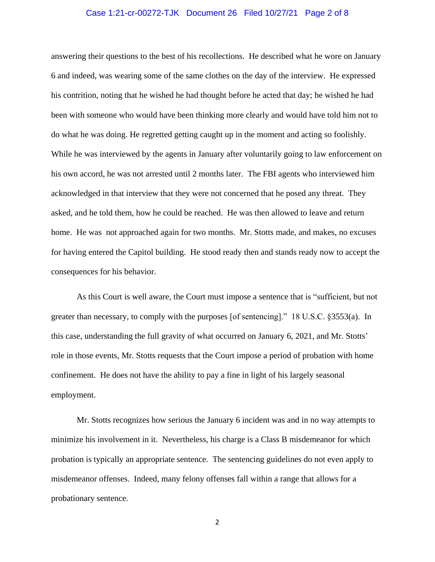## Case 1:21-cr-00272-TJK Document 26 Filed 10/27/21 Page 2 of 8

answering their questions to the best of his recollections. He described what he wore on January 6 and indeed, was wearing some of the same clothes on the day of the interview. He expressed his contrition, noting that he wished he had thought before he acted that day; he wished he had been with someone who would have been thinking more clearly and would have told him not to do what he was doing. He regretted getting caught up in the moment and acting so foolishly. While he was interviewed by the agents in January after voluntarily going to law enforcement on his own accord, he was not arrested until 2 months later. The FBI agents who interviewed him acknowledged in that interview that they were not concerned that he posed any threat. They asked, and he told them, how he could be reached. He was then allowed to leave and return home. He was not approached again for two months. Mr. Stotts made, and makes, no excuses for having entered the Capitol building. He stood ready then and stands ready now to accept the consequences for his behavior.

As this Court is well aware, the Court must impose a sentence that is "sufficient, but not greater than necessary, to comply with the purposes [of sentencing]." 18 U.S.C. §3553(a). In this case, understanding the full gravity of what occurred on January 6, 2021, and Mr. Stotts' role in those events, Mr. Stotts requests that the Court impose a period of probation with home confinement. He does not have the ability to pay a fine in light of his largely seasonal employment.

Mr. Stotts recognizes how serious the January 6 incident was and in no way attempts to minimize his involvement in it. Nevertheless, his charge is a Class B misdemeanor for which probation is typically an appropriate sentence. The sentencing guidelines do not even apply to misdemeanor offenses. Indeed, many felony offenses fall within a range that allows for a probationary sentence.

2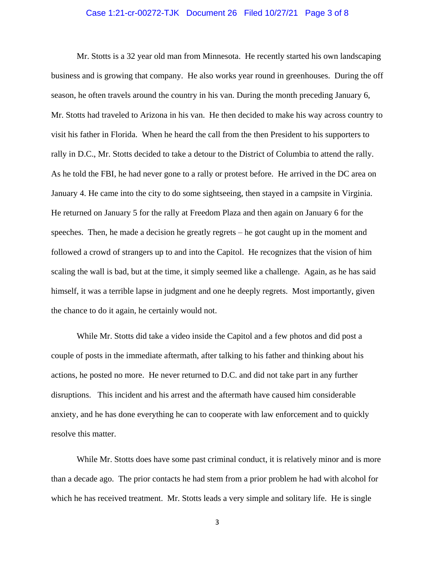## Case 1:21-cr-00272-TJK Document 26 Filed 10/27/21 Page 3 of 8

Mr. Stotts is a 32 year old man from Minnesota. He recently started his own landscaping business and is growing that company. He also works year round in greenhouses. During the off season, he often travels around the country in his van. During the month preceding January 6, Mr. Stotts had traveled to Arizona in his van. He then decided to make his way across country to visit his father in Florida. When he heard the call from the then President to his supporters to rally in D.C., Mr. Stotts decided to take a detour to the District of Columbia to attend the rally. As he told the FBI, he had never gone to a rally or protest before. He arrived in the DC area on January 4. He came into the city to do some sightseeing, then stayed in a campsite in Virginia. He returned on January 5 for the rally at Freedom Plaza and then again on January 6 for the speeches. Then, he made a decision he greatly regrets – he got caught up in the moment and followed a crowd of strangers up to and into the Capitol. He recognizes that the vision of him scaling the wall is bad, but at the time, it simply seemed like a challenge. Again, as he has said himself, it was a terrible lapse in judgment and one he deeply regrets. Most importantly, given the chance to do it again, he certainly would not.

While Mr. Stotts did take a video inside the Capitol and a few photos and did post a couple of posts in the immediate aftermath, after talking to his father and thinking about his actions, he posted no more. He never returned to D.C. and did not take part in any further disruptions. This incident and his arrest and the aftermath have caused him considerable anxiety, and he has done everything he can to cooperate with law enforcement and to quickly resolve this matter.

While Mr. Stotts does have some past criminal conduct, it is relatively minor and is more than a decade ago. The prior contacts he had stem from a prior problem he had with alcohol for which he has received treatment. Mr. Stotts leads a very simple and solitary life. He is single

3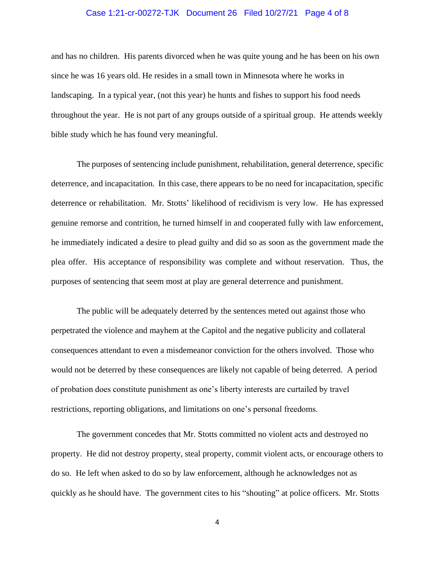## Case 1:21-cr-00272-TJK Document 26 Filed 10/27/21 Page 4 of 8

and has no children. His parents divorced when he was quite young and he has been on his own since he was 16 years old. He resides in a small town in Minnesota where he works in landscaping. In a typical year, (not this year) he hunts and fishes to support his food needs throughout the year. He is not part of any groups outside of a spiritual group. He attends weekly bible study which he has found very meaningful.

The purposes of sentencing include punishment, rehabilitation, general deterrence, specific deterrence, and incapacitation. In this case, there appears to be no need for incapacitation, specific deterrence or rehabilitation. Mr. Stotts' likelihood of recidivism is very low. He has expressed genuine remorse and contrition, he turned himself in and cooperated fully with law enforcement, he immediately indicated a desire to plead guilty and did so as soon as the government made the plea offer. His acceptance of responsibility was complete and without reservation. Thus, the purposes of sentencing that seem most at play are general deterrence and punishment.

The public will be adequately deterred by the sentences meted out against those who perpetrated the violence and mayhem at the Capitol and the negative publicity and collateral consequences attendant to even a misdemeanor conviction for the others involved. Those who would not be deterred by these consequences are likely not capable of being deterred. A period of probation does constitute punishment as one's liberty interests are curtailed by travel restrictions, reporting obligations, and limitations on one's personal freedoms.

The government concedes that Mr. Stotts committed no violent acts and destroyed no property. He did not destroy property, steal property, commit violent acts, or encourage others to do so. He left when asked to do so by law enforcement, although he acknowledges not as quickly as he should have. The government cites to his "shouting" at police officers. Mr. Stotts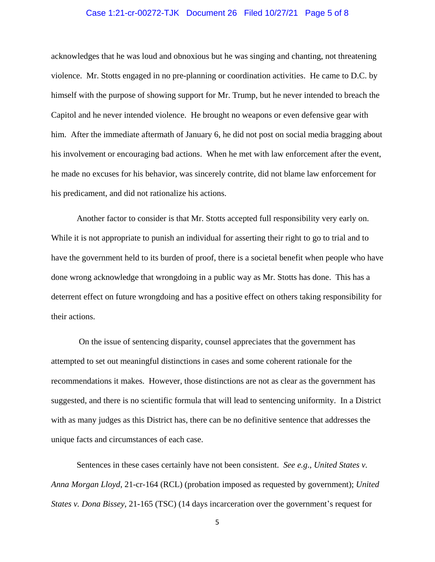## Case 1:21-cr-00272-TJK Document 26 Filed 10/27/21 Page 5 of 8

acknowledges that he was loud and obnoxious but he was singing and chanting, not threatening violence. Mr. Stotts engaged in no pre-planning or coordination activities. He came to D.C. by himself with the purpose of showing support for Mr. Trump, but he never intended to breach the Capitol and he never intended violence. He brought no weapons or even defensive gear with him. After the immediate aftermath of January 6, he did not post on social media bragging about his involvement or encouraging bad actions. When he met with law enforcement after the event, he made no excuses for his behavior, was sincerely contrite, did not blame law enforcement for his predicament, and did not rationalize his actions.

Another factor to consider is that Mr. Stotts accepted full responsibility very early on. While it is not appropriate to punish an individual for asserting their right to go to trial and to have the government held to its burden of proof, there is a societal benefit when people who have done wrong acknowledge that wrongdoing in a public way as Mr. Stotts has done. This has a deterrent effect on future wrongdoing and has a positive effect on others taking responsibility for their actions.

On the issue of sentencing disparity, counsel appreciates that the government has attempted to set out meaningful distinctions in cases and some coherent rationale for the recommendations it makes. However, those distinctions are not as clear as the government has suggested, and there is no scientific formula that will lead to sentencing uniformity. In a District with as many judges as this District has, there can be no definitive sentence that addresses the unique facts and circumstances of each case.

Sentences in these cases certainly have not been consistent. *See e.g*., *United States v. Anna Morgan Lloyd*, 21-cr-164 (RCL) (probation imposed as requested by government); *United States v. Dona Bissey*, 21-165 (TSC) (14 days incarceration over the government's request for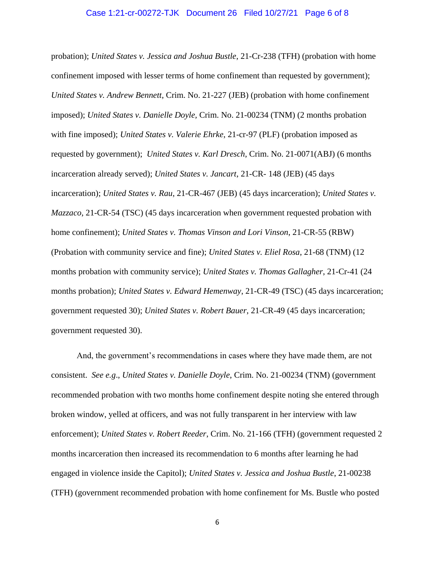#### Case 1:21-cr-00272-TJK Document 26 Filed 10/27/21 Page 6 of 8

probation); *United States v. Jessica and Joshua Bustle*, 21-Cr-238 (TFH) (probation with home confinement imposed with lesser terms of home confinement than requested by government); *United States v. Andrew Bennett*, Crim. No. 21-227 (JEB) (probation with home confinement imposed); *United States v. Danielle Doyle,* Crim. No. 21-00234 (TNM) (2 months probation with fine imposed); *United States v. Valerie Ehrke*, 21-cr-97 (PLF) (probation imposed as requested by government); *United States v. Karl Dresch*, Crim. No. 21-0071(ABJ) (6 months incarceration already served); *United States v. Jancart*, 21-CR- 148 (JEB) (45 days incarceration); *United States v. Rau*, 21-CR-467 (JEB) (45 days incarceration); *United States v. Mazzaco*, 21-CR-54 (TSC) (45 days incarceration when government requested probation with home confinement); *United States v. Thomas Vinson and Lori Vinson*, 21-CR-55 (RBW) (Probation with community service and fine); *United States v. Eliel Rosa*, 21-68 (TNM) (12 months probation with community service); *United States v. Thomas Gallagher*, 21-Cr-41 (24 months probation); *United States v. Edward Hemenway*, 21-CR-49 (TSC) (45 days incarceration; government requested 30); *United States v. Robert Bauer*, 21-CR-49 (45 days incarceration; government requested 30).

And, the government's recommendations in cases where they have made them, are not consistent. *See e.g*., *United States v. Danielle Doyle*, Crim. No. 21-00234 (TNM) (government recommended probation with two months home confinement despite noting she entered through broken window, yelled at officers, and was not fully transparent in her interview with law enforcement); *United States v. Robert Reeder*, Crim. No. 21-166 (TFH) (government requested 2 months incarceration then increased its recommendation to 6 months after learning he had engaged in violence inside the Capitol); *United States v. Jessica and Joshua Bustle*, 21-00238 (TFH) (government recommended probation with home confinement for Ms. Bustle who posted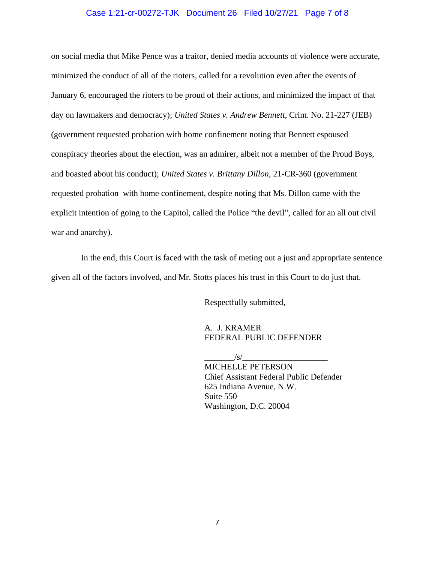## Case 1:21-cr-00272-TJK Document 26 Filed 10/27/21 Page 7 of 8

on social media that Mike Pence was a traitor, denied media accounts of violence were accurate, minimized the conduct of all of the rioters, called for a revolution even after the events of January 6, encouraged the rioters to be proud of their actions, and minimized the impact of that day on lawmakers and democracy); *United States v. Andrew Bennett*, Crim. No. 21-227 (JEB) (government requested probation with home confinement noting that Bennett espoused conspiracy theories about the election, was an admirer, albeit not a member of the Proud Boys, and boasted about his conduct); *United States v. Brittany Dillon*, 21-CR-360 (government requested probation with home confinement, despite noting that Ms. Dillon came with the explicit intention of going to the Capitol, called the Police "the devil", called for an all out civil war and anarchy).

 In the end, this Court is faced with the task of meting out a just and appropriate sentence given all of the factors involved, and Mr. Stotts places his trust in this Court to do just that.

Respectfully submitted,

A. J. KRAMER FEDERAL PUBLIC DEFENDER

 $\sqrt{s/}$ 

MICHELLE PETERSON Chief Assistant Federal Public Defender 625 Indiana Avenue, N.W. Suite 550 Washington, D.C. 20004